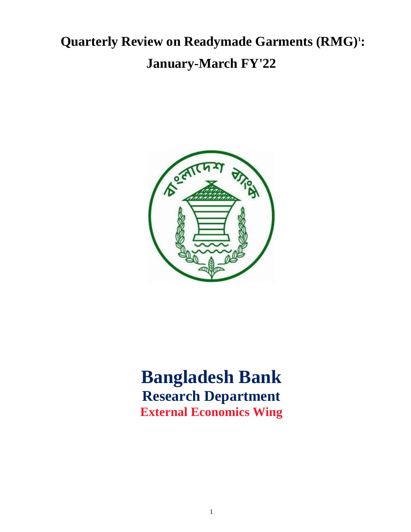# **Quarterly Review on Readymade Garments (RMG)<sup>1</sup> : January-March FY'22**



# **Bangladesh Bank Research Department External Economics Wing**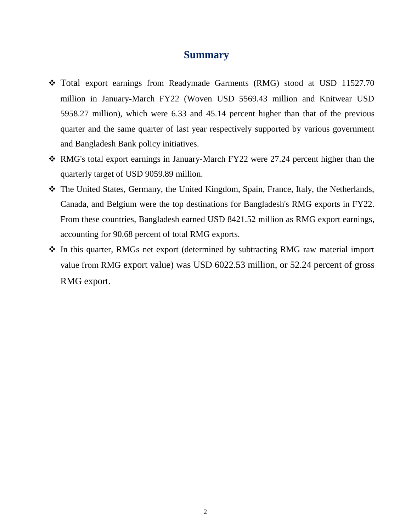### **Summary**

- Total export earnings from Readymade Garments (RMG) stood at USD 11527.70 million in January-March FY22 (Woven USD 5569.43 million and Knitwear USD 5958.27 million), which were 6.33 and 45.14 percent higher than that of the previous quarter and the same quarter of last year respectively supported by various government and Bangladesh Bank policy initiatives.
- RMG's total export earnings in January-March FY22 were 27.24 percent higher than the quarterly target of USD 9059.89 million.
- The United States, Germany, the United Kingdom, Spain, France, Italy, the Netherlands, Canada, and Belgium were the top destinations for Bangladesh's RMG exports in FY22. From these countries, Bangladesh earned USD 8421.52 million as RMG export earnings, accounting for 90.68 percent of total RMG exports.
- In this quarter, RMGs net export (determined by subtracting RMG raw material import value from RMG export value) was USD 6022.53 million, or 52.24 percent of gross RMG export.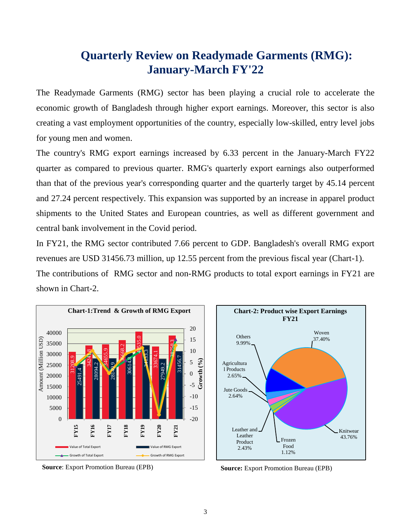## **Quarterly Review on Readymade Garments (RMG): January-March FY'22**

The Readymade Garments (RMG) sector has been playing a crucial role to accelerate the economic growth of Bangladesh through higher export earnings. Moreover, this sector is also creating a vast employment opportunities of the country, especially low-skilled, entry level jobs for young men and women.

The country's RMG export earnings increased by 6.33 percent in the January-March FY22 quarter as compared to previous quarter. RMG's quarterly export earnings also outperformed than that of the previous year's corresponding quarter and the quarterly target by 45.14 percent and 27.24 percent respectively. This expansion was supported by an increase in apparel product shipments to the United States and European countries, as well as different government and central bank involvement in the Covid period.

In FY21, the RMG sector contributed 7.66 percent to GDP. Bangladesh's overall RMG export revenues are USD 31456.73 million, up 12.55 percent from the previous fiscal year (Chart-1). The contributions of RMG sector and non-RMG products to total export earnings in FY21 are shown in Chart-2.



**Source**: Export Promotion Bureau (EPB) **Source:** Export Promotion Bureau (EPB)

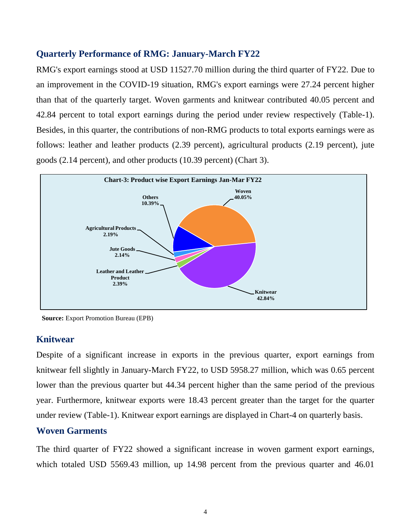#### **Quarterly Performance of RMG: January-March FY22**

RMG's export earnings stood at USD 11527.70 million during the third quarter of FY22. Due to an improvement in the COVID-19 situation, RMG's export earnings were 27.24 percent higher than that of the quarterly target. Woven garments and knitwear contributed 40.05 percent and 42.84 percent to total export earnings during the period under review respectively (Table-1). Besides, in this quarter, the contributions of non-RMG products to total exports earnings were as follows: leather and leather products (2.39 percent), agricultural products (2.19 percent), jute goods (2.14 percent), and other products (10.39 percent) (Chart 3).



**Source:** Export Promotion Bureau (EPB)

#### **Knitwear**

Despite of a significant increase in exports in the previous quarter, export earnings from knitwear fell slightly in January-March FY22, to USD 5958.27 million, which was 0.65 percent lower than the previous quarter but 44.34 percent higher than the same period of the previous year. Furthermore, knitwear exports were 18.43 percent greater than the target for the quarter under review (Table-1). Knitwear export earnings are displayed in Chart-4 on quarterly basis.

#### **Woven Garments**

The third quarter of FY22 showed a significant increase in woven garment export earnings, which totaled USD 5569.43 million, up 14.98 percent from the previous quarter and 46.01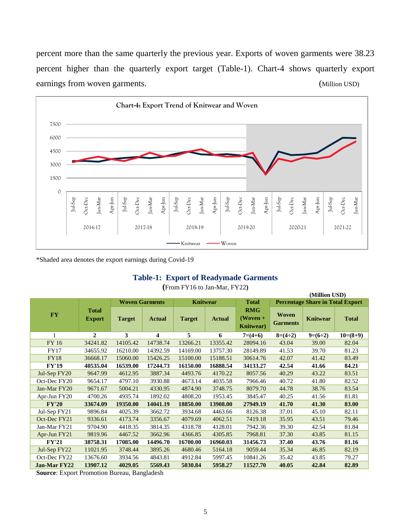percent more than the same quarterly the previous year. Exports of woven garments were 38.23 percent higher than the quarterly export target (Table-1). Chart-4 shows quarterly export earnings from woven garments. (Million USD)



\*Shaded area denotes the export earnings during Covid-19

#### **Table-1: Export of Readymade Garments**

|              | (Million USD)                 |                       |                         |                 |               |                                               |                                         |                 |              |
|--------------|-------------------------------|-----------------------|-------------------------|-----------------|---------------|-----------------------------------------------|-----------------------------------------|-----------------|--------------|
| <b>FY</b>    | <b>Total</b><br><b>Export</b> | <b>Woven Garments</b> |                         | <b>Knitwear</b> |               | <b>Total</b>                                  | <b>Percentage Share in Total Export</b> |                 |              |
|              |                               | <b>Target</b>         | <b>Actual</b>           | <b>Target</b>   | <b>Actual</b> | <b>RMG</b><br>$(Woven +$<br><b>Knitwear</b> ) | <b>Woven</b><br><b>Garments</b>         | <b>Knitwear</b> | <b>Total</b> |
| 1            | $\overline{2}$                | 3                     | $\overline{\mathbf{4}}$ | 5               | 6             | $7=(4+6)$                                     | $8=(4\div 2)$                           | $9=(6-2)$       | $10=(8+9)$   |
| FY 16        | 34241.82                      | 14105.42              | 14738.74                | 13266.21        | 13355.42      | 28094.16                                      | 43.04                                   | 39.00           | 82.04        |
| <b>FY17</b>  | 34655.92                      | 16210.00              | 14392.59                | 14169.00        | 13757.30      | 28149.89                                      | 41.53                                   | 39.70           | 81.23        |
| <b>FY18</b>  | 36668.17                      | 15060.00              | 15426.25                | 15100.00        | 15188.51      | 30614.76                                      | 42.07                                   | 41.42           | 83.49        |
| <b>FY'19</b> | 40535.04                      | 16539.00              | 17244.73                | 16150.00        | 16888.54      | 34133.27                                      | 42.54                                   | 41.66           | 84.21        |
| Jul-Sep FY20 | 9647.99                       | 4612.95               | 3887.34                 | 4493.76         | 4170.22       | 8057.56                                       | 40.29                                   | 43.22           | 83.51        |
| Oct-Dec FY20 | 9654.17                       | 4797.10               | 3930.88                 | 4673.14         | 4035.58       | 7966.46                                       | 40.72                                   | 41.80           | 82.52        |
| Jan-Mar FY20 | 9671.67                       | 5004.21               | 4330.95                 | 4874.90         | 3748.75       | 8079.70                                       | 44.78                                   | 38.76           | 83.54        |
| Apr-Jun FY20 | 4700.26                       | 4935.74               | 1892.02                 | 4808.20         | 1953.45       | 3845.47                                       | 40.25                                   | 41.56           | 81.81        |
| <b>FY'20</b> | 33674.09                      | 19350.00              | 14041.19                | 18850.00        | 13908.00      | 27949.19                                      | 41.70                                   | 41.30           | 83.00        |
| Jul-Sep FY21 | 9896.84                       | 4025.39               | 3662.72                 | 3934.68         | 4463.66       | 8126.38                                       | 37.01                                   | 45.10           | 82.11        |
| Oct-Dec FY21 | 9336.61                       | 4173.74               | 3356.67                 | 4079.69         | 4062.51       | 7419.18                                       | 35.95                                   | 43.51           | 79.46        |
| Jan-Mar FY21 | 9704.90                       | 4418.35               | 3814.35                 | 4318.78         | 4128.01       | 7942.36                                       | 39.30                                   | 42.54           | 81.84        |
| Apr-Jun FY21 | 9819.96                       | 4467.52               | 3662.96                 | 4366.85         | 4305.85       | 7968.81                                       | 37.30                                   | 43.85           | 81.15        |
| <b>FY'21</b> | 38758.31                      | 17085.00              | 14496.70                | 16700.00        | 16960.03      | 31456.73                                      | 37.40                                   | 43.76           | 81.16        |
| Jul-Sep FY22 | 11021.95                      | 3748.44               | 3895.26                 | 4680.46         | 5164.18       | 9059.44                                       | 35.34                                   | 46.85           | 82.19        |
| Oct-Dec FY22 | 13676.60                      | 3934.56               | 4843.81                 | 4912.84         | 5997.45       | 10841.26                                      | 35.42                                   | 43.85           | 79.27        |
| Jan-Mar FY22 | 13907.12                      | 4029.05               | 5569.43                 | 5030.84         | 5958.27       | 11527.70                                      | 40.05                                   | 42.84           | 82.89        |

**(**From FY16 to Jan-Mar, FY22**)**

**Source**: Export Promotion Bureau, Bangladesh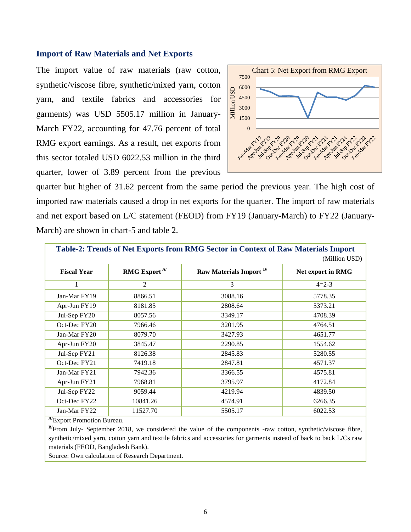#### **Import of Raw Materials and Net Exports**

The import value of raw materials (raw cotton, synthetic/viscose fibre, synthetic/mixed yarn, cotton yarn, and textile fabrics and accessories for garments) was USD 5505.17 million in January-March FY22, accounting for 47.76 percent of total RMG export earnings. As a result, net exports from this sector totaled USD 6022.53 million in the third quarter, lower of 3.89 percent from the previous



quarter but higher of 31.62 percent from the same period the previous year. The high cost of imported raw materials caused a drop in net exports for the quarter. The import of raw materials and net export based on L/C statement (FEOD) from FY19 (January-March) to FY22 (January-March) are shown in chart-5 and table 2.

| Table-2: Trends of Net Exports from RMG Sector in Context of Raw Materials Import |                          |                         |                   |  |  |  |
|-----------------------------------------------------------------------------------|--------------------------|-------------------------|-------------------|--|--|--|
|                                                                                   |                          |                         | (Million USD)     |  |  |  |
| <b>Fiscal Year</b>                                                                | RMG Export <sup>A/</sup> | Raw Materials Import B/ | Net export in RMG |  |  |  |
| 1                                                                                 | 2                        | 3                       | $4=2-3$           |  |  |  |
| Jan-Mar FY19                                                                      | 8866.51                  | 3088.16                 | 5778.35           |  |  |  |
| Apr-Jun FY19                                                                      | 8181.85                  | 2808.64                 | 5373.21           |  |  |  |
| Jul-Sep FY20                                                                      | 8057.56                  | 3349.17                 | 4708.39           |  |  |  |
| Oct-Dec FY20                                                                      | 7966.46                  | 3201.95                 | 4764.51           |  |  |  |
| Jan-Mar FY20                                                                      | 8079.70                  | 3427.93                 | 4651.77           |  |  |  |
| Apr-Jun FY20                                                                      | 3845.47                  | 2290.85                 | 1554.62           |  |  |  |
| Jul-Sep FY21                                                                      | 8126.38                  | 2845.83                 | 5280.55           |  |  |  |
| Oct-Dec FY21                                                                      | 7419.18                  | 2847.81                 | 4571.37           |  |  |  |
| Jan-Mar FY21                                                                      | 7942.36                  | 3366.55                 | 4575.81           |  |  |  |
| Apr-Jun FY21                                                                      | 7968.81                  | 3795.97                 | 4172.84           |  |  |  |
| Jul-Sep FY22                                                                      | 9059.44                  | 4219.94                 | 4839.50           |  |  |  |
| Oct-Dec FY22                                                                      | 10841.26                 | 4574.91                 | 6266.35           |  |  |  |
| Jan-Mar FY22                                                                      | 11527.70                 | 5505.17                 | 6022.53           |  |  |  |

**A/**Export Promotion Bureau.

**B/**From July- September 2018, we considered the value of the components -raw cotton, synthetic/viscose fibre, synthetic/mixed yarn, cotton yarn and textile fabrics and accessories for garments instead of back to back L/Cs raw materials (FEOD, Bangladesh Bank).

Source: Own calculation of Research Department.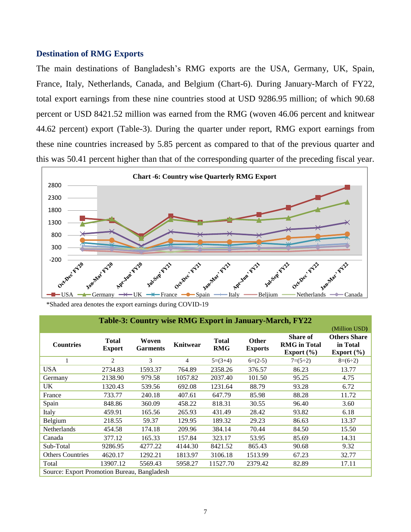#### **Destination of RMG Exports**

The main destinations of Bangladesh's RMG exports are the USA, Germany, UK, Spain, France, Italy, Netherlands, Canada, and Belgium (Chart-6). During January-March of FY22, total export earnings from these nine countries stood at USD 9286.95 million; of which 90.68 percent or USD 8421.52 million was earned from the RMG (woven 46.06 percent and knitwear 44.62 percent) export (Table-3). During the quarter under report, RMG export earnings from these nine countries increased by 5.85 percent as compared to that of the previous quarter and this was 50.41 percent higher than that of the corresponding quarter of the preceding fiscal year.



 <sup>\*</sup>Shaded area denotes the export earnings during COVID-19

| Table-3: Country wise RMG Export in January-March, FY22 |                               |                          |                 |                            |                                |                                                          |                                                   |  |
|---------------------------------------------------------|-------------------------------|--------------------------|-----------------|----------------------------|--------------------------------|----------------------------------------------------------|---------------------------------------------------|--|
|                                                         |                               |                          |                 |                            |                                |                                                          | (Million USD)                                     |  |
| <b>Countries</b>                                        | <b>Total</b><br><b>Export</b> | Woven<br><b>Garments</b> | <b>Knitwear</b> | <b>Total</b><br><b>RMG</b> | <b>Other</b><br><b>Exports</b> | <b>Share of</b><br><b>RMG</b> in Total<br>Export $(\% )$ | <b>Others Share</b><br>in Total<br>Export $(\% )$ |  |
| 1                                                       | 2                             | 3                        | $\overline{4}$  | $5=(3+4)$                  | $6=(2-5)$                      | $7=(5\div 2)$                                            | $8=(6\div 2)$                                     |  |
| <b>USA</b>                                              | 2734.83                       | 1593.37                  | 764.89          | 2358.26                    | 376.57                         | 86.23                                                    | 13.77                                             |  |
| Germany                                                 | 2138.90                       | 979.58                   | 1057.82         | 2037.40                    | 101.50                         | 95.25                                                    | 4.75                                              |  |
| UK                                                      | 1320.43                       | 539.56                   | 692.08          | 1231.64                    | 88.79                          | 93.28                                                    | 6.72                                              |  |
| France                                                  | 733.77                        | 240.18                   | 407.61          | 647.79                     | 85.98                          | 88.28                                                    | 11.72                                             |  |
| Spain                                                   | 848.86                        | 360.09                   | 458.22          | 818.31                     | 30.55                          | 96.40                                                    | 3.60                                              |  |
| Italy                                                   | 459.91                        | 165.56                   | 265.93          | 431.49                     | 28.42                          | 93.82                                                    | 6.18                                              |  |
| Belgium                                                 | 218.55                        | 59.37                    | 129.95          | 189.32                     | 29.23                          | 86.63                                                    | 13.37                                             |  |
| Netherlands                                             | 454.58                        | 174.18                   | 209.96          | 384.14                     | 70.44                          | 84.50                                                    | 15.50                                             |  |
| Canada                                                  | 377.12                        | 165.33                   | 157.84          | 323.17                     | 53.95                          | 85.69                                                    | 14.31                                             |  |
| Sub-Total                                               | 9286.95                       | 4277.22                  | 4144.30         | 8421.52                    | 865.43                         | 90.68                                                    | 9.32                                              |  |
| <b>Others Countries</b>                                 | 4620.17                       | 1292.21                  | 1813.97         | 3106.18                    | 1513.99                        | 67.23                                                    | 32.77                                             |  |
| Total                                                   | 13907.12                      | 5569.43                  | 5958.27         | 11527.70                   | 2379.42                        | 82.89                                                    | 17.11                                             |  |
| Source: Export Promotion Bureau, Bangladesh             |                               |                          |                 |                            |                                |                                                          |                                                   |  |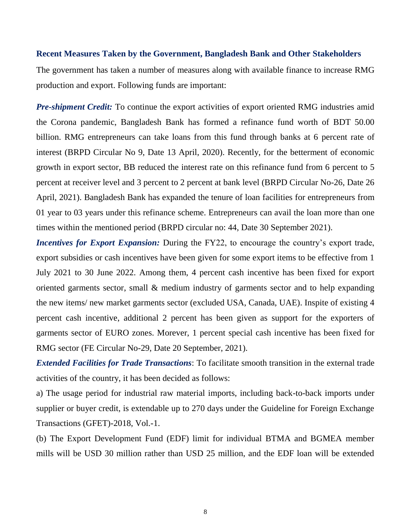#### **Recent Measures Taken by the Government, Bangladesh Bank and Other Stakeholders**

The government has taken a number of measures along with available finance to increase RMG production and export. Following funds are important:

*Pre-shipment Credit:* To continue the export activities of export oriented RMG industries amid the Corona pandemic, Bangladesh Bank has formed a refinance fund worth of BDT 50.00 billion. RMG entrepreneurs can take loans from this fund through banks at 6 percent rate of interest (BRPD Circular No 9, Date 13 April, 2020). Recently, for the betterment of economic growth in export sector, BB reduced the interest rate on this refinance fund from 6 percent to 5 percent at receiver level and 3 percent to 2 percent at bank level (BRPD Circular No-26, Date 26 April, 2021). Bangladesh Bank has expanded the tenure of loan facilities for entrepreneurs from 01 year to 03 years under this refinance scheme. Entrepreneurs can avail the loan more than one times within the mentioned period (BRPD circular no: 44, Date 30 September 2021).

*Incentives for Export Expansion:* During the FY22, to encourage the country's export trade, export subsidies or cash incentives have been given for some export items to be effective from 1 July 2021 to 30 June 2022. Among them, 4 percent cash incentive has been fixed for export oriented garments sector, small & medium industry of garments sector and to help expanding the new items/ new market garments sector (excluded USA, Canada, UAE). Inspite of existing 4 percent cash incentive, additional 2 percent has been given as support for the exporters of garments sector of EURO zones. Morever, 1 percent special cash incentive has been fixed for RMG sector (FE Circular No-29, Date 20 September, 2021).

*Extended Facilities for Trade Transactions*: To facilitate smooth transition in the external trade activities of the country, it has been decided as follows:

a) The usage period for industrial raw material imports, including back-to-back imports under supplier or buyer credit, is extendable up to 270 days under the Guideline for Foreign Exchange Transactions (GFET)-2018, Vol.-1.

(b) The Export Development Fund (EDF) limit for individual BTMA and BGMEA member mills will be USD 30 million rather than USD 25 million, and the EDF loan will be extended